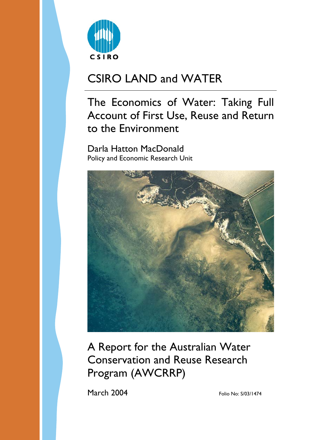

# CSIRO LAND and WATER

# The Economics of Water: Taking Full Account of First Use, Reuse and Return to the Environment

Darla Hatton MacDonald Policy and Economic Research Unit



A Report for the Australian Water Conservation and Reuse Research Program (AWCRRP)

March 2004 Folio No: S/03/1474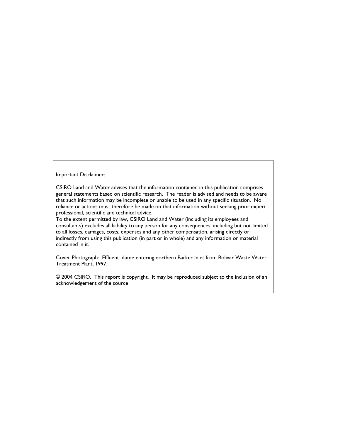Important Disclaimer:

CSIRO Land and Water advises that the information contained in this publication comprises general statements based on scientific research. The reader is advised and needs to be aware that such information may be incomplete or unable to be used in any specific situation. No reliance or actions must therefore be made on that information without seeking prior expert professional, scientific and technical advice.

To the extent permitted by law, CSIRO Land and Water (including its employees and consultants) excludes all liability to any person for any consequences, including but not limited to all losses, damages, costs, expenses and any other compensation, arising directly or indirectly from using this publication (in part or in whole) and any information or material contained in it.

Cover Photograph: Effluent plume entering northern Barker Inlet from Bolivar Waste Water Treatment Plant, 1997.

© 2004 CSIRO. This report is copyright. It may be reproduced subject to the inclusion of an acknowledgement of the source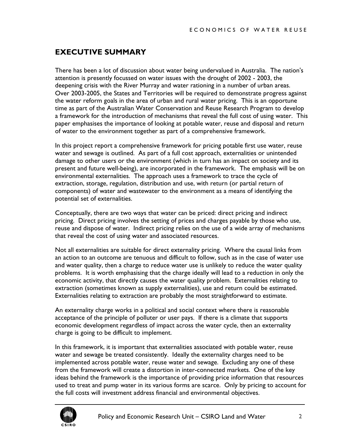## <span id="page-2-0"></span>**EXECUTIVE SUMMARY**

There has been a lot of discussion about water being undervalued in Australia. The nation's attention is presently focussed on water issues with the drought of 2002 - 2003, the deepening crisis with the River Murray and water rationing in a number of urban areas. Over 2003-2005, the States and Territories will be required to demonstrate progress against the water reform goals in the area of urban and rural water pricing. This is an opportune time as part of the Australian Water Conservation and Reuse Research Program to develop a framework for the introduction of mechanisms that reveal the full cost of using water. This paper emphasises the importance of looking at potable water, reuse and disposal and return of water to the environment together as part of a comprehensive framework.

In this project report a comprehensive framework for pricing potable first use water, reuse water and sewage is outlined. As part of a full cost approach, externalities or unintended damage to other users or the environment (which in turn has an impact on society and its present and future well-being), are incorporated in the framework. The emphasis will be on environmental externalities. The approach uses a framework to trace the cycle of extraction, storage, regulation, distribution and use, with return (or partial return of components) of water and wastewater to the environment as a means of identifying the potential set of externalities.

Conceptually, there are two ways that water can be priced: direct pricing and indirect pricing. Direct pricing involves the setting of prices and charges payable by those who use, reuse and dispose of water. Indirect pricing relies on the use of a wide array of mechanisms that reveal the cost of using water and associated resources.

Not all externalities are suitable for direct externality pricing. Where the causal links from an action to an outcome are tenuous and difficult to follow, such as in the case of water use and water quality, then a charge to reduce water use is unlikely to reduce the water quality problems. It is worth emphasising that the charge ideally will lead to a reduction in only the economic activity, that directly causes the water quality problem. Externalities relating to extraction (sometimes known as supply externalities), use and return could be estimated. Externalities relating to extraction are probably the most straightforward to estimate.

An externality charge works in a political and social context where there is reasonable acceptance of the principle of polluter or user pays. If there is a climate that supports economic development regardless of impact across the water cycle, then an externality charge is going to be difficult to implement.

In this framework, it is important that externalities associated with potable water, reuse water and sewage be treated consistently. Ideally the externality charges need to be implemented across potable water, reuse water and sewage. Excluding any one of these from the framework will create a distortion in inter-connected markets. One of the key ideas behind the framework is the importance of providing price information that resources used to treat and pump water in its various forms are scarce. Only by pricing to account for the full costs will investment address financial and environmental objectives.

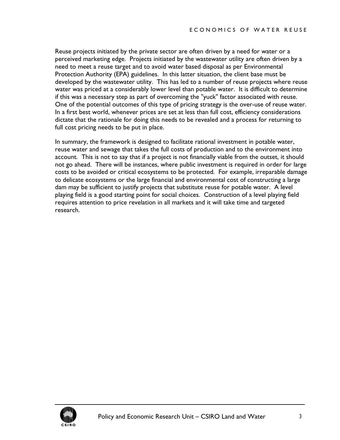Reuse projects initiated by the private sector are often driven by a need for water or a perceived marketing edge. Projects initiated by the wastewater utility are often driven by a need to meet a reuse target and to avoid water based disposal as per Environmental Protection Authority (EPA) guidelines. In this latter situation, the client base must be developed by the wastewater utility. This has led to a number of reuse projects where reuse water was priced at a considerably lower level than potable water. It is difficult to determine if this was a necessary step as part of overcoming the "yuck" factor associated with reuse. One of the potential outcomes of this type of pricing strategy is the over-use of reuse water. In a first best world, whenever prices are set at less than full cost, efficiency considerations dictate that the rationale for doing this needs to be revealed and a process for returning to full cost pricing needs to be put in place.

In summary, the framework is designed to facilitate rational investment in potable water, reuse water and sewage that takes the full costs of production and to the environment into account. This is not to say that if a project is not financially viable from the outset, it should not go ahead. There will be instances, where public investment is required in order for large costs to be avoided or critical ecosystems to be protected. For example, irreparable damage to delicate ecosystems or the large financial and environmental cost of constructing a large dam may be sufficient to justify projects that substitute reuse for potable water. A level playing field is a good starting point for social choices. Construction of a level playing field requires attention to price revelation in all markets and it will take time and targeted research.

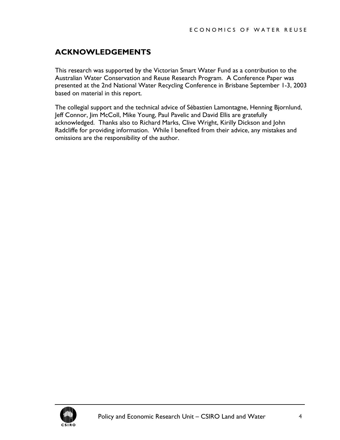## <span id="page-4-0"></span>**ACKNOWLEDGEMENTS**

This research was supported by the Victorian Smart Water Fund as a contribution to the Australian Water Conservation and Reuse Research Program. A Conference Paper was presented at the 2nd National Water Recycling Conference in Brisbane September 1-3, 2003 based on material in this report.

The collegial support and the technical advice of Sébastien Lamontagne, Henning Bjornlund, Jeff Connor, Jim McColl, Mike Young, Paul Pavelic and David Ellis are gratefully acknowledged. Thanks also to Richard Marks, Clive Wright, Kirilly Dickson and John Radcliffe for providing information. While I benefited from their advice, any mistakes and omissions are the responsibility of the author.

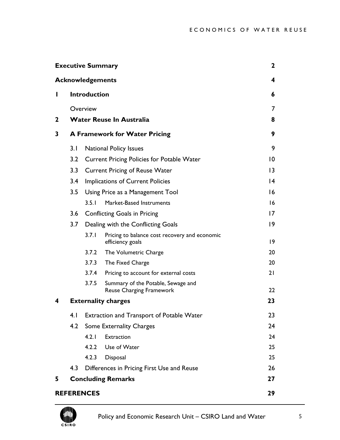|    | <b>Executive Summary</b>             |                                                   |                                                                       | 2           |
|----|--------------------------------------|---------------------------------------------------|-----------------------------------------------------------------------|-------------|
|    |                                      | <b>Acknowledgements</b>                           |                                                                       | 4           |
| Ш  |                                      | <b>Introduction</b>                               |                                                                       | 6           |
|    |                                      | Overview                                          |                                                                       | 7           |
| 2  |                                      |                                                   | <b>Water Reuse In Australia</b>                                       | 8           |
| 3  | <b>A Framework for Water Pricing</b> |                                                   |                                                                       | 9           |
|    | 3.1                                  |                                                   | <b>National Policy Issues</b>                                         | 9           |
|    | 3.2                                  | <b>Current Pricing Policies for Potable Water</b> | 10                                                                    |             |
|    | 3.3                                  | <b>Current Pricing of Reuse Water</b>             | $\overline{13}$                                                       |             |
|    | 3.4                                  | <b>Implications of Current Policies</b>           | $\overline{14}$                                                       |             |
|    | 3.5                                  | Using Price as a Management Tool                  | 16                                                                    |             |
|    |                                      | 3.5.1                                             | Market-Based Instruments                                              | 16          |
|    | 3.6                                  | <b>Conflicting Goals in Pricing</b>               | $\overline{17}$                                                       |             |
|    | 3.7                                  | Dealing with the Conflicting Goals                |                                                                       | 9           |
|    |                                      | 3.7.1                                             | Pricing to balance cost recovery and economic<br>efficiency goals     | $ 9\rangle$ |
|    |                                      | 3.7.2                                             | The Volumetric Charge                                                 | 20          |
|    |                                      | 3.7.3                                             | The Fixed Charge                                                      | 20          |
|    |                                      | 3.7.4                                             | Pricing to account for external costs                                 | 21          |
|    |                                      | 3.7.5                                             | Summary of the Potable, Sewage and<br><b>Reuse Charging Framework</b> | 22          |
| 4  | <b>Externality charges</b>           |                                                   |                                                                       | 23          |
|    | 4.1                                  | Extraction and Transport of Potable Water         | 23                                                                    |             |
|    | 4.2                                  | <b>Some Externality Charges</b>                   | 24                                                                    |             |
|    |                                      | 4.2.1                                             | Extraction                                                            | 24          |
|    |                                      | 4.2.2                                             | Use of Water                                                          | 25          |
|    |                                      | 4.2.3                                             | Disposal                                                              | 25          |
|    | 4.3                                  | Differences in Pricing First Use and Reuse        | 26                                                                    |             |
| 5. |                                      | <b>Concluding Remarks</b><br>27                   |                                                                       |             |
|    |                                      | <b>REFERENCES</b>                                 |                                                                       | 29          |

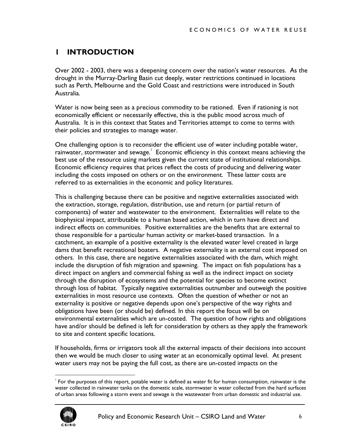# <span id="page-6-0"></span>**1 INTRODUCTION**

Over 2002 - 2003, there was a deepening concern over the nation's water resources. As the drought in the Murray-Darling Basin cut deeply, water restrictions continued in locations such as Perth, Melbourne and the Gold Coast and restrictions were introduced in South Australia.

Water is now being seen as a precious commodity to be rationed. Even if rationing is not economically efficient or necessarily effective, this is the public mood across much of Australia. It is in this context that States and Territories attempt to come to terms with their policies and strategies to manage water.

One challenging option is to reconsider the efficient use of water including potable water, rainwater, stormwater and sewage. $^\mathsf{I}\,$  Economic efficiency in this context means achieving the best use of the resource using markets given the current state of institutional relationships. Economic efficiency requires that prices reflect the costs of producing and delivering water including the costs imposed on others or on the environment. These latter costs are referred to as externalities in the economic and policy literatures.

This is challenging because there can be positive and negative externalities associated with the extraction, storage, regulation, distribution, use and return (or partial return of components) of water and wastewater to the environment. Externalities will relate to the biophysical impact, attributable to a human based action, which in turn have direct and indirect effects on communities. Positive externalities are the benefits that are external to those responsible for a particular human activity or market-based transaction. In a catchment, an example of a positive externality is the elevated water level created in large dams that benefit recreational boaters. A negative externality is an external cost imposed on others. In this case, there are negative externalities associated with the dam, which might include the disruption of fish migration and spawning. The impact on fish populations has a direct impact on anglers and commercial fishing as well as the indirect impact on society through the disruption of ecosystems and the potential for species to become extinct through loss of habitat. Typically negative externalities outnumber and outweigh the positive externalities in most resource use contexts. Often the question of whether or not an externality is positive or negative depends upon one's perspective of the way rights and obligations have been (or should be) defined. In this report the focus will be on environmental externalities which are un-costed. The question of how rights and obligations have and/or should be defined is left for consideration by others as they apply the framework to site and content specific locations.

If households, firms or irrigators took all the external impacts of their decisions into account then we would be much closer to using water at an economically optimal level. At present water users may not be paying the full cost, as there are un-costed impacts on the

<span id="page-6-1"></span><sup>|&</sup>lt;br>|<br>| For the purposes of this report, potable water is defined as water fit for human consumption, rainwater is the water collected in rainwater tanks on the domestic scale, stormwater is water collected from the hard surfaces of urban areas following a storm event and sewage is the wastewater from urban domestic and industrial use.

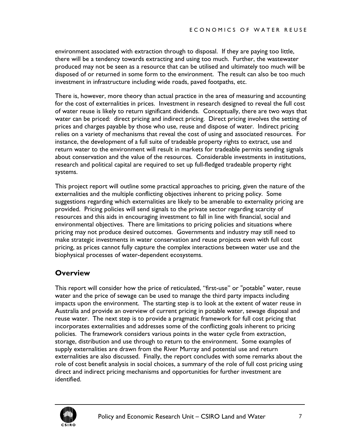<span id="page-7-0"></span>environment associated with extraction through to disposal. If they are paying too little, there will be a tendency towards extracting and using too much. Further, the wastewater produced may not be seen as a resource that can be utilised and ultimately too much will be disposed of or returned in some form to the environment. The result can also be too much investment in infrastructure including wide roads, paved footpaths, etc.

There is, however, more theory than actual practice in the area of measuring and accounting for the cost of externalities in prices. Investment in research designed to reveal the full cost of water reuse is likely to return significant dividends. Conceptually, there are two ways that water can be priced: direct pricing and indirect pricing. Direct pricing involves the setting of prices and charges payable by those who use, reuse and dispose of water. Indirect pricing relies on a variety of mechanisms that reveal the cost of using and associated resources. For instance, the development of a full suite of tradeable property rights to extract, use and return water to the environment will result in markets for tradeable permits sending signals about conservation and the value of the resources. Considerable investments in institutions, research and political capital are required to set up full-fledged tradeable property right systems.

This project report will outline some practical approaches to pricing, given the nature of the externalities and the multiple conflicting objectives inherent to pricing policy. Some suggestions regarding which externalities are likely to be amenable to externality pricing are provided. Pricing policies will send signals to the private sector regarding scarcity of resources and this aids in encouraging investment to fall in line with financial, social and environmental objectives. There are limitations to pricing policies and situations where pricing may not produce desired outcomes. Governments and industry may still need to make strategic investments in water conservation and reuse projects even with full cost pricing, as prices cannot fully capture the complex interactions between water use and the biophysical processes of water-dependent ecosystems.

## **Overview**

This report will consider how the price of reticulated, "first-use" or "potable" water, reuse water and the price of sewage can be used to manage the third party impacts including impacts upon the environment. The starting step is to look at the extent of water reuse in Australia and provide an overview of current pricing in potable water, sewage disposal and reuse water. The next step is to provide a pragmatic framework for full cost pricing that incorporates externalities and addresses some of the conflicting goals inherent to pricing policies. The framework considers various points in the water cycle from extraction, storage, distribution and use through to return to the environment. Some examples of supply externalities are drawn from the River Murray and potential use and return externalities are also discussed. Finally, the report concludes with some remarks about the role of cost benefit analysis in social choices, a summary of the role of full cost pricing using direct and indirect pricing mechanisms and opportunities for further investment are identified.

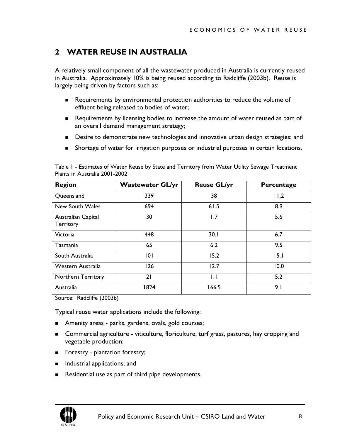# <span id="page-8-0"></span>**2 WATER REUSE IN AUSTRALIA**

A relatively small component of all the wastewater produced in Australia is currently reused in Australia. Approximately 10% is being reused according to Radcliffe (2003b). Reuse is largely being driven by factors such as:

- Requirements by environmental protection authorities to reduce the volume of effluent being released to bodies of water;
- Requirements by licensing bodies to increase the amount of water reused as part of an overall demand management strategy;
- **Desire to demonstrate new technologies and innovative urban design strategies; and**
- Shortage of water for irrigation purposes or industrial purposes in certain locations.

| <b>Region</b>                   | <b>Wastewater GL/yr</b> | <b>Reuse GL/yr</b> | Percentage |
|---------------------------------|-------------------------|--------------------|------------|
| Queensland                      | 339                     | 38                 | 11.2       |
| New South Wales                 | 694                     | 61.5               | 8.9        |
| Australian Capital<br>Territory | 30                      | 1.7                | 5.6        |
| Victoria                        | 448                     | 30.1               | 6.7        |
| Tasmania                        | 65                      | 6.2                | 9.5        |
| South Australia                 | 0                       | 15.2               | 15.1       |
| Western Australia               | 126                     | 12.7               | 10.0       |
| Northern Territory              | 21                      | I.I                | 5.2        |
| Australia                       | 1824                    | 166.5              | 9.1        |

Table 1 - Estimates of Water Reuse by State and Territory from Water Utility Sewage Treatment Plants in Australia 2001-2002

Source: Radcliffe (2003b)

Typical reuse water applications include the following:

- **Amenity areas parks, gardens, ovals, gold courses;**
- **Commercial agriculture viticulture, floriculture, turf grass, pastures, hay cropping and** vegetable production;
- Forestry plantation forestry;
- **Industrial applications; and**
- Residential use as part of third pipe developments.

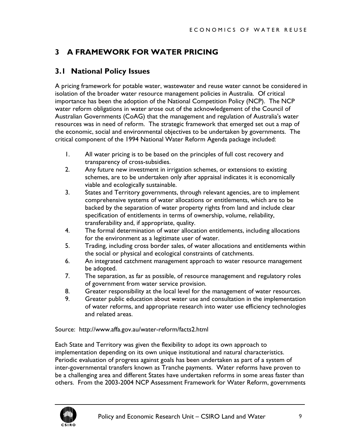# <span id="page-9-0"></span>**3 A FRAMEWORK FOR WATER PRICING**

## **3.1 National Policy Issues**

A pricing framework for potable water, wastewater and reuse water cannot be considered in isolation of the broader water resource management policies in Australia. Of critical importance has been the adoption of the National Competition Policy (NCP). The NCP water reform obligations in water arose out of the acknowledgement of the Council of Australian Governments (CoAG) that the management and regulation of Australia's water resources was in need of reform. The strategic framework that emerged set out a map of the economic, social and environmental objectives to be undertaken by governments. The critical component of the 1994 National Water Reform Agenda package included:

- 1. All water pricing is to be based on the principles of full cost recovery and transparency of cross-subsidies.
- 2. Any future new investment in irrigation schemes, or extensions to existing schemes, are to be undertaken only after appraisal indicates it is economically viable and ecologically sustainable.
- 3. States and Territory governments, through relevant agencies, are to implement comprehensive systems of water allocations or entitlements, which are to be backed by the separation of water property rights from land and include clear specification of entitlements in terms of ownership, volume, reliability, transferability and, if appropriate, quality.
- 4. The formal determination of water allocation entitlements, including allocations for the environment as a legitimate user of water.
- 5. Trading, including cross border sales, of water allocations and entitlements within the social or physical and ecological constraints of catchments.
- 6. An integrated catchment management approach to water resource management be adopted.
- 7. The separation, as far as possible, of resource management and regulatory roles of government from water service provision.
- 8. Greater responsibility at the local level for the management of water resources.
- 9. Greater public education about water use and consultation in the implementation of water reforms, and appropriate research into water use efficiency technologies and related areas.

Source: http://www.affa.gov.au/water-reform/facts2.html

Each State and Territory was given the flexibility to adopt its own approach to implementation depending on its own unique institutional and natural characteristics. Periodic evaluation of progress against goals has been undertaken as part of a system of inter-governmental transfers known as Tranche payments. Water reforms have proven to be a challenging area and different States have undertaken reforms in some areas faster than others. From the 2003-2004 NCP Assessment Framework for Water Reform, governments

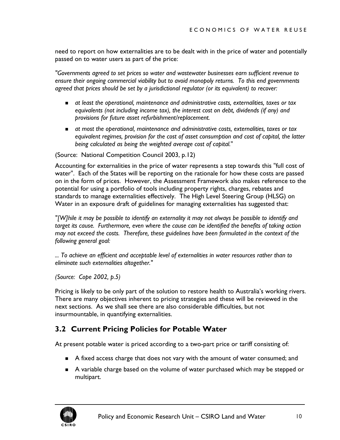<span id="page-10-0"></span>need to report on how externalities are to be dealt with in the price of water and potentially passed on to water users as part of the price:

*"Governments agreed to set prices so water and wastewater businesses earn sufficient revenue to ensure their ongoing commercial viability but to avoid monopoly returns. To this end governments agreed that prices should be set by a jurisdictional regulator (or its equivalent) to recover:* 

- *at least the operational, maintenance and administrative costs, externalities, taxes or tax equivalents (not including income tax), the interest cost on debt, dividends (if any) and provisions for future asset refurbishment/replacement.*
- *at most the operational, maintenance and administrative costs, externalities, taxes or tax equivalent regimes, provision for the cost of asset consumption and cost of capital, the latter being calculated as being the weighted average cost of capital.*"

(Source: National Competition Council 2003, p.12)

Accounting for externalities in the price of water represents a step towards this "full cost of water". Each of the States will be reporting on the rationale for how these costs are passed on in the form of prices. However, the Assessment Framework also makes reference to the potential for using a portfolio of tools including property rights, charges, rebates and standards to manage externalities effectively. The High Level Steering Group (HLSG) on Water in an exposure draft of guidelines for managing externalities has suggested that:

*"[W]hile it may be possible to identify an externality it may not always be possible to identify and target its cause. Furthermore, even where the cause can be identified the benefits of taking action may not exceed the costs. Therefore, these guidelines have been formulated in the context of the following general goal:* 

*... To achieve an efficient and acceptable level of externalities in water resources rather than to eliminate such externalities altogether."* 

*(Source: Cope 2002, p.5)*

Pricing is likely to be only part of the solution to restore health to Australia's working rivers. There are many objectives inherent to pricing strategies and these will be reviewed in the next sections. As we shall see there are also considerable difficulties, but not insurmountable, in quantifying externalities.

## **3.2 Current Pricing Policies for Potable Water**

At present potable water is priced according to a two-part price or tariff consisting of:

- A fixed access charge that does not vary with the amount of water consumed; and
- A variable charge based on the volume of water purchased which may be stepped or multipart.

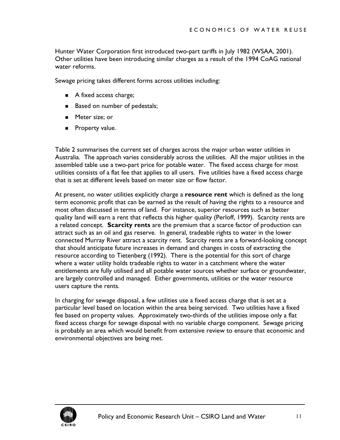Hunter Water Corporation first introduced two-part tariffs in July 1982 (WSAA, 2001). Other utilities have been introducing similar charges as a result of the 1994 CoAG national water reforms.

Sewage pricing takes different forms across utilities including:

- A fixed access charge;
- Based on number of pedestals;
- **Meter size; or**
- **Property value.**

[Table 2](#page-12-0) summarises the current set of charges across the major urban water utilities in Australia. The approach varies considerably across the utilities. All the major utilities in the assembled table use a two-part price for potable water. The fixed access charge for most utilities consists of a flat fee that applies to all users. Five utilities have a fixed access charge that is set at different levels based on meter size or flow factor.

At present, no water utilities explicitly charge a **resource rent** which is defined as the long term economic profit that can be earned as the result of having the rights to a resource and most often discussed in terms of land. For instance, superior resources such as better quality land will earn a rent that reflects this higher quality (Perloff, 1999). Scarcity rents are a related concept. **Scarcity rents** are the premium that a scarce factor of production can attract such as an oil and gas reserve. In general, tradeable rights to water in the lower connected Murray River attract a scarcity rent. Scarcity rents are a forward-looking concept that should anticipate future increases in demand and changes in costs of extracting the resource according to Tietenberg (1992). There is the potential for this sort of charge where a water utility holds tradeable rights to water in a catchment where the water entitlements are fully utilised and all potable water sources whether surface or groundwater, are largely controlled and managed. Either governments, utilities or the water resource users capture the rents.

In charging for sewage disposal, a few utilities use a fixed access charge that is set at a particular level based on location within the area being serviced. Two utilities have a fixed fee based on property values. Approximately two-thirds of the utilities impose only a flat fixed access charge for sewage disposal with no variable charge component. Sewage pricing is probably an area which would benefit from extensive review to ensure that economic and environmental objectives are being met.

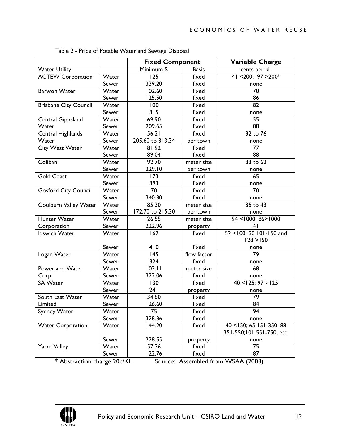|                                                                   |       | <b>Fixed Component</b> |              | <b>Variable Charge</b>                |
|-------------------------------------------------------------------|-------|------------------------|--------------|---------------------------------------|
| <b>Water Utility</b>                                              |       | Minimum \$             | <b>Basis</b> | cents per kL                          |
| <b>ACTEW Corporation</b>                                          | Water | 125                    | fixed        | 41 < 200; 97 > 200*                   |
|                                                                   | Sewer | 339.20                 | fixed        | none                                  |
| <b>Barwon Water</b>                                               | Water | 102.60                 | fixed        | 70                                    |
|                                                                   | Sewer | 125.50                 | fixed        | 86                                    |
| <b>Brisbane City Council</b>                                      | Water | 100                    | fixed        | 82                                    |
|                                                                   | Sewer | 315                    | fixed        | none                                  |
| Central Gippsland                                                 | Water | 69.90                  | fixed        | 55                                    |
| Water                                                             | Sewer | 209.65                 | fixed        | 88                                    |
| Central Highlands                                                 | Water | 56.21                  | fixed        | 32 to 76                              |
| Water                                                             | Sewer | 205.60 to 313.34       | per town     | none                                  |
| City West Water                                                   | Water | 81.92                  | fixed        | 77                                    |
|                                                                   | Sewer | 89.04                  | fixed        | 88                                    |
| Coliban                                                           | Water | 92.70                  | meter size   | 33 to 62                              |
|                                                                   | Sewer | 229.10                 | per town     | none                                  |
| <b>Gold Coast</b>                                                 | Water | 173                    | fixed        | 65                                    |
|                                                                   | Sewer | 393                    | fixed        | none                                  |
| <b>Gosford City Council</b>                                       | Water | 70                     | fixed        | 70                                    |
|                                                                   | Sewer | 340.30                 | fixed        | none                                  |
| <b>Goulburn Valley Water</b>                                      | Water | 85.30                  | meter size   | 35 to 43                              |
|                                                                   | Sewer | 172.70 to 215.30       | per town     | none                                  |
| Hunter Water                                                      | Water | 26.55                  | meter size   | 94 <1000; 86>1000                     |
| Corporation                                                       | Sewer | 222.96                 | property     | 41                                    |
| Ipswich Water                                                     | Water | 162                    | fixed        | $\overline{52}$ < 100; 90 101-150 and |
|                                                                   |       |                        |              | 128 > 150                             |
|                                                                   | Sewer | 410                    | fixed        | none                                  |
| Logan Water                                                       | Water | 145                    | flow factor  | 79                                    |
|                                                                   | Sewer | 324                    | fixed        | none                                  |
| Power and Water                                                   | Water | 103.11                 | meter size   | 68                                    |
| Corp                                                              | Sewer | 322.06                 | fixed        | none                                  |
| <b>SA Water</b>                                                   | Water | 130                    | fixed        | $40 < 125$ ; 97 > 125                 |
|                                                                   | Sewer | 241                    | property     | none                                  |
| South East Water                                                  | Water | 34.80                  | fixed        | 79                                    |
| Limited                                                           | Sewer | 126.60                 | fixed        | 84                                    |
| Sydney Water                                                      | Water | 75                     | fixed        | 94                                    |
|                                                                   | Sewer | 328.36                 | fixed        | none                                  |
| <b>Water Corporation</b>                                          | Water | 144.20                 | fixed        | $\overline{40}$ < 150; 65 151-350; 88 |
|                                                                   |       |                        |              | 351-550;101 551-750, etc.             |
|                                                                   | Sewer | 228.55                 | property     | none                                  |
| Yarra Valley                                                      | Water | 57.36                  | fixed        | 75                                    |
|                                                                   | Sewer | 122.76                 | fixed        | 87                                    |
| * Abstraction charge 20c/KL<br>Source: Assembled from WSAA (2003) |       |                        |              |                                       |

<span id="page-12-0"></span>Table 2 - Price of Potable Water and Sewage Disposal

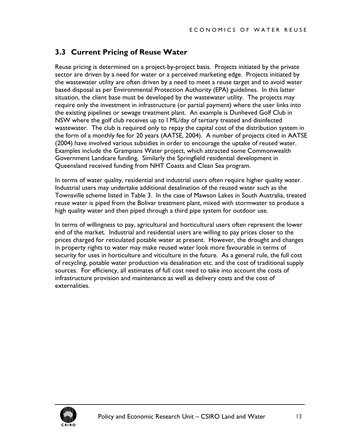## <span id="page-13-0"></span>**3.3 Current Pricing of Reuse Water**

Reuse pricing is determined on a project-by-project basis. Projects initiated by the private sector are driven by a need for water or a perceived marketing edge. Projects initiated by the wastewater utility are often driven by a need to meet a reuse target and to avoid water based disposal as per Environmental Protection Authority (EPA) guidelines. In this latter situation, the client base must be developed by the wastewater utility. The projects may require only the investment in infrastructure (or partial payment) where the user links into the existing pipelines or sewage treatment plant. An example is Dunheved Golf Club in NSW where the golf club receives up to I ML/day of tertiary treated and disinfected wastewater. The club is required only to repay the capital cost of the distribution system in the form of a monthly fee for 20 years (AATSE, 2004). A number of projects cited in AATSE (2004) have involved various subsidies in order to encourage the uptake of reused water. Examples include the Grampians Water project, which attracted some Commonwealth Government Landcare funding. Similarly the Springfield residential development in Queensland received funding from NHT Coasts and Clean Sea program.

In terms of water quality, residential and industrial users often require higher quality water. Industrial users may undertake additional desalination of the reused water such as the Townsville scheme listed in [Table 3.](#page-14-1) In the case of Mawson Lakes in South Australia, treated reuse water is piped from the Bolivar treatment plant, mixed with stormwater to produce a high quality water and then piped through a third pipe system for outdoor use.

In terms of willingness to pay, agricultural and horticultural users often represent the lower end of the market. Industrial and residential users are willing to pay prices closer to the prices charged for reticulated potable water at present. However, the drought and changes in property rights to water may make reused water look more favourable in terms of security for uses in horticulture and viticulture in the future. As a general rule, the full cost of recycling, potable water production via desalination etc. and the cost of traditional supply sources. For efficiency, all estimates of full cost need to take into account the costs of infrastructure provision and maintenance as well as delivery costs and the cost of externalities.

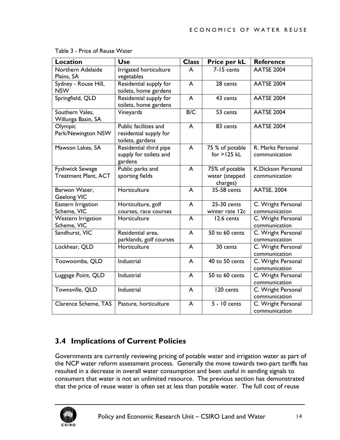| <b>Location</b>                                | <b>Use</b>                                                          | <b>Class</b>   | Price per kL                                 | <b>Reference</b>                    |
|------------------------------------------------|---------------------------------------------------------------------|----------------|----------------------------------------------|-------------------------------------|
| Northern Adelaide<br>Plains, SA                | Irrigated horticulture<br>vegetables                                | A              | 7-15 cents                                   | <b>AATSE 2004</b>                   |
| Sydney - Rouse Hill,<br><b>NSW</b>             | Residential supply for<br>toilets, home gardens                     | $\overline{A}$ | 28 cents                                     | <b>AATSE 2004</b>                   |
| Springfield, QLD                               | Residential supply for<br>toilets, home gardens                     | $\overline{A}$ | 43 cents                                     | <b>AATSE 2004</b>                   |
| Southern Vales,<br>Willunga Basin, SA          | Vineyards                                                           | B/C            | 53 cents                                     | <b>AATSE 2004</b>                   |
| Olympic<br>Park/Newington NSW                  | Public facilities and<br>residential supply for<br>toilets, gardens | A              | 83 cents                                     | <b>AATSE 2004</b>                   |
| Mawson Lakes, SA                               | Residential third pipe<br>supply for toilets and<br>gardens         | A              | 75 % of potable<br>for $>125$ kL             | R. Marks Personal<br>communication  |
| Fyshwick Sewage<br><b>Treatment Plant, ACT</b> | Public parks and<br>sporting fields                                 | $\overline{A}$ | 75% of potable<br>water (stepped<br>charges) | K.Dickson Personal<br>communication |
| Barwon Water,<br><b>Geelong VIC</b>            | Horticulture                                                        | A              | 35-58 cents                                  | <b>AATSE, 2004</b>                  |
| Eastern Irrigation<br>Scheme, VIC              | Horticulture, golf<br>courses, race courses                         | $\overline{A}$ | 25-30 cents<br>winter rate 12c               | C. Wright Personal<br>communication |
| Western Irrigation<br>Scheme, VIC              | Horticulture                                                        | A              | 12.6 cents                                   | C. Wright Personal<br>communication |
| Sandhurst, VIC                                 | Residential area,<br>parklands, golf courses                        | A              | 50 to 60 cents                               | C. Wright Personal<br>communication |
| Lockhear, QLD                                  | Horticulture                                                        | A              | 30 cents                                     | C. Wright Personal<br>communication |
| Toowoomba, QLD                                 | Industrial                                                          | A              | 40 to 50 cents                               | C. Wright Personal<br>communication |
| Luggage Point, QLD                             | Industrial                                                          | $\overline{A}$ | 50 to 60 cents                               | C. Wright Personal<br>communication |
| Townsville, QLD                                | Industrial                                                          | $\overline{A}$ | 120 cents                                    | C. Wright Personal<br>communication |
| Clarence Scheme, TAS                           | Pasture, horticulture                                               | A              | $\overline{5}$ - 10 cents                    | C. Wright Personal<br>communication |

<span id="page-14-1"></span><span id="page-14-0"></span>Table 3 - Price of Reuse Water

# **3.4 Implications of Current Policies**

Governments are currently reviewing pricing of potable water and irrigation water as part of the NCP water reform assessment process. Generally the move towards two-part tariffs has resulted in a decrease in overall water consumption and been useful in sending signals to consumers that water is not an unlimited resource. The previous section has demonstrated that the price of reuse water is often set at less than potable water. The full cost of reuse

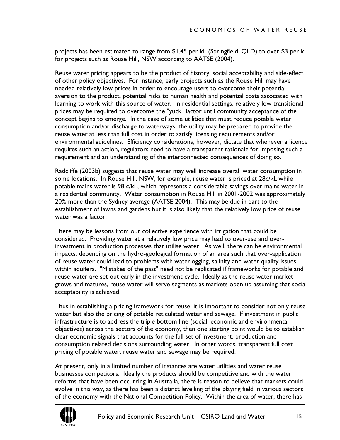projects has been estimated to range from \$1.45 per kL (Springfield, QLD) to over \$3 per kL for projects such as Rouse Hill, NSW according to AATSE (2004).

Reuse water pricing appears to be the product of history, social acceptability and side-effect of other policy objectives. For instance, early projects such as the Rouse Hill may have needed relatively low prices in order to encourage users to overcome their potential aversion to the product, potential risks to human health and potential costs associated with learning to work with this source of water. In residential settings, relatively low transitional prices may be required to overcome the "yuck" factor until community acceptance of the concept begins to emerge. In the case of some utilities that must reduce potable water consumption and/or discharge to waterways, the utility may be prepared to provide the reuse water at less than full cost in order to satisfy licensing requirements and/or environmental guidelines. Efficiency considerations, however, dictate that whenever a licence requires such an action, regulators need to have a transparent rationale for imposing such a requirement and an understanding of the interconnected consequences of doing so.

Radcliffe (2003b) suggests that reuse water may well increase overall water consumption in some locations. In Rouse Hill, NSW, for example, reuse water is priced at 28c/kL while potable mains water is 98 c/kL, which represents a considerable savings over mains water in a residential community. Water consumption in Rouse Hill in 2001-2002 was approximately 20% more than the Sydney average (AATSE 2004). This may be due in part to the establishment of lawns and gardens but it is also likely that the relatively low price of reuse water was a factor.

There may be lessons from our collective experience with irrigation that could be considered. Providing water at a relatively low price may lead to over-use and overinvestment in production processes that utilise water. As well, there can be environmental impacts, depending on the hydro-geological formation of an area such that over-application of reuse water could lead to problems with waterlogging, salinity and water quality issues within aquifers. "Mistakes of the past" need not be replicated if frameworks for potable and reuse water are set out early in the investment cycle. Ideally as the reuse water market grows and matures, reuse water will serve segments as markets open up assuming that social acceptability is achieved.

Thus in establishing a pricing framework for reuse, it is important to consider not only reuse water but also the pricing of potable reticulated water and sewage. If investment in public infrastructure is to address the triple bottom line (social, economic and environmental objectives) across the sectors of the economy, then one starting point would be to establish clear economic signals that accounts for the full set of investment, production and consumption related decisions surrounding water. In other words, transparent full cost pricing of potable water, reuse water and sewage may be required.

At present, only in a limited number of instances are water utilities and water reuse businesses competitors. Ideally the products should be competitive and with the water reforms that have been occurring in Australia, there is reason to believe that markets could evolve in this way, as there has been a distinct levelling of the playing field in various sectors of the economy with the National Competition Policy. Within the area of water, there has

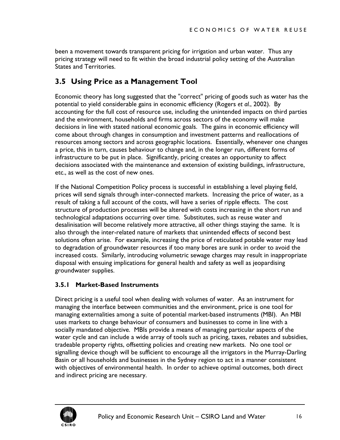<span id="page-16-0"></span>been a movement towards transparent pricing for irrigation and urban water. Thus any pricing strategy will need to fit within the broad industrial policy setting of the Australian States and Territories.

## **3.5 Using Price as a Management Tool**

Economic theory has long suggested that the "correct" pricing of goods such as water has the potential to yield considerable gains in economic efficiency (Rogers *et al.*, 2002). By accounting for the full cost of resource use, including the unintended impacts on third parties and the environment, households and firms across sectors of the economy will make decisions in line with stated national economic goals. The gains in economic efficiency will come about through changes in consumption and investment patterns and reallocations of resources among sectors and across geographic locations. Essentially, whenever one changes a price, this in turn, causes behaviour to change and, in the longer run, different forms of infrastructure to be put in place. Significantly, pricing creates an opportunity to affect decisions associated with the maintenance and extension of existing buildings, infrastructure, etc., as well as the cost of new ones.

If the National Competition Policy process is successful in establishing a level playing field, prices will send signals through inter-connected markets. Increasing the price of water, as a result of taking a full account of the costs, will have a series of ripple effects. The cost structure of production processes will be altered with costs increasing in the short run and technological adaptations occurring over time. Substitutes, such as reuse water and desalinisation will become relatively more attractive, all other things staying the same. It is also through the inter-related nature of markets that unintended effects of second best solutions often arise. For example, increasing the price of reticulated potable water may lead to degradation of groundwater resources if too many bores are sunk in order to avoid the increased costs. Similarly, introducing volumetric sewage charges may result in inappropriate disposal with ensuing implications for general health and safety as well as jeopardising groundwater supplies.

#### **3.5.1 Market-Based Instruments**

Direct pricing is a useful tool when dealing with volumes of water. As an instrument for managing the interface between communities and the environment, price is one tool for managing externalities among a suite of potential market-based instruments (MBI). An MBI uses markets to change behaviour of consumers and businesses to come in line with a socially mandated objective. MBIs provide a means of managing particular aspects of the water cycle and can include a wide array of tools such as pricing, taxes, rebates and subsidies, tradeable property rights, offsetting policies and creating new markets. No one tool or signalling device though will be sufficient to encourage all the irrigators in the Murray-Darling Basin or all households and businesses in the Sydney region to act in a manner consistent with objectives of environmental health. In order to achieve optimal outcomes, both direct and indirect pricing are necessary.

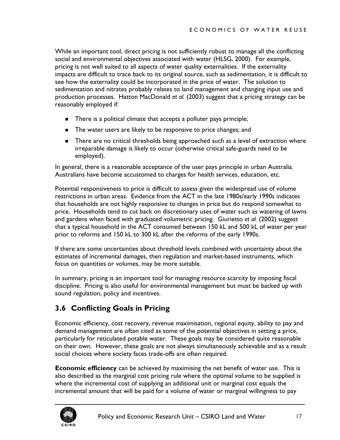<span id="page-17-0"></span>While an important tool, direct pricing is not sufficiently robust to manage all the conflicting social and environmental objectives associated with water (HLSG, 2000). For example, pricing is not well suited to all aspects of water quality externalities. If the externality impacts are difficult to trace back to its original source, such as sedimentation, it is difficult to see how the externality could be incorporated in the price of water. The solution to sedimentation and nitrates probably relates to land management and changing input use and production processes. Hatton MacDonald *et al.* (2003) suggest that a pricing strategy can be reasonably employed if:

- There is a political climate that accepts a polluter pays principle;
- The water users are likely to be responsive to price changes; and
- **There are no critical thresholds being approached such as a level of extraction where** irreparable damage is likely to occur (otherwise critical safe-guards need to be employed).

In general, there is a reasonable acceptance of the user pays principle in urban Australia. Australians have become accustomed to charges for health services, education, etc.

Potential responsiveness to price is difficult to assess given the widespread use of volume restrictions in urban areas. Evidence from the ACT in the late 1980s/early 1990s indicates that households are not highly responsive to changes in price but do respond somewhat to price. Households tend to cut back on discretionary uses of water such as watering of lawns and gardens when faced with graduated volumetric pricing. Giurietto *et al.* (2002) suggest that a typical household in the ACT consumed between 150 kL and 500 kL of water per year prior to reforms and 150 kL to 300 kL after the reforms of the early 1990s.

If there are some uncertainties about threshold levels combined with uncertainty about the estimates of incremental damages, then regulation and market-based instruments, which focus on quantities or volumes, may be more suitable.

In summary, pricing is an important tool for managing resource scarcity by imposing fiscal discipline. Pricing is also useful for environmental management but must be backed up with sound regulation, policy and incentives.

## **3.6 Conflicting Goals in Pricing**

Economic efficiency, cost recovery, revenue maximisation, regional equity, ability to pay and demand management are often cited as some of the potential objectives in setting a price, particularly for reticulated potable water. These goals may be considered quite reasonable on their own. However, these goals are not always simultaneously achievable and as a result social choices where society faces trade-offs are often required.

**Economic efficiency** can be achieved by maximising the net benefit of water use. This is also described as the marginal cost pricing rule where the optimal volume to be supplied is where the incremental cost of supplying an additional unit or marginal cost equals the incremental amount that will be paid for a volume of water or marginal willingness to pay

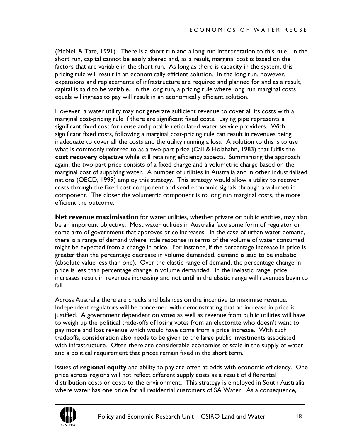(McNeil & Tate, 1991). There is a short run and a long run interpretation to this rule. In the short run, capital cannot be easily altered and, as a result, marginal cost is based on the factors that are variable in the short run. As long as there is capacity in the system, this pricing rule will result in an economically efficient solution. In the long run, however, expansions and replacements of infrastructure are required and planned for and as a result, capital is said to be variable. In the long run, a pricing rule where long run marginal costs equals willingness to pay will result in an economically efficient solution.

However, a water utility may not generate sufficient revenue to cover all its costs with a marginal cost-pricing rule if there are significant fixed costs. Laying pipe represents a significant fixed cost for reuse and potable reticulated water service providers. With significant fixed costs, following a marginal cost-pricing rule can result in revenues being inadequate to cover all the costs and the utility running a loss. A solution to this is to use what is commonly referred to as a two-part price (Call & Holahahn, 1983) that fulfils the **cost recovery** objective while still retaining efficiency aspects. Summarising the approach again, the two-part price consists of a fixed charge and a volumetric charge based on the marginal cost of supplying water. A number of utilities in Australia and in other industrialised nations (OECD, 1999) employ this strategy. This strategy would allow a utility to recover costs through the fixed cost component and send economic signals through a volumetric component. The closer the volumetric component is to long run marginal costs, the more efficient the outcome.

**Net revenue maximisation** for water utilities, whether private or public entities, may also be an important objective. Most water utilities in Australia face some form of regulator or some arm of government that approves price increases. In the case of urban water demand, there is a range of demand where little response in terms of the volume of water consumed might be expected from a change in price. For instance, if the percentage increase in price is greater than the percentage decrease in volume demanded, demand is said to be inelastic (absolute value less than one). Over the elastic range of demand, the percentage change in price is less than percentage change in volume demanded. In the inelastic range, price increases result in revenues increasing and not until in the elastic range will revenues begin to fall.

Across Australia there are checks and balances on the incentive to maximise revenue. Independent regulators will be concerned with demonstrating that an increase in price is justified. A government dependent on votes as well as revenue from public utilities will have to weigh up the political trade-offs of losing votes from an electorate who doesn't want to pay more and lost revenue which would have come from a price increase. With such tradeoffs, consideration also needs to be given to the large public investments associated with infrastructure. Often there are considerable economies of scale in the supply of water and a political requirement that prices remain fixed in the short term.

Issues of **regional equity** and ability to pay are often at odds with economic efficiency. One price across regions will not reflect different supply costs as a result of differential distribution costs or costs to the environment. This strategy is employed in South Australia where water has one price for all residential customers of SA Water. As a consequence,

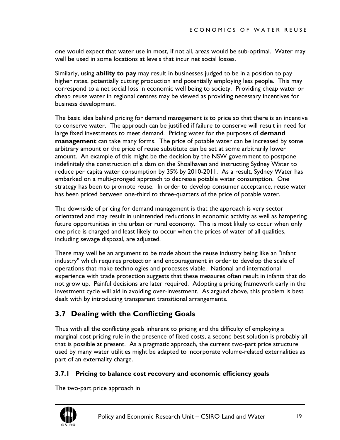<span id="page-19-0"></span>one would expect that water use in most, if not all, areas would be sub-optimal. Water may well be used in some locations at levels that incur net social losses.

Similarly, using **ability to pay** may result in businesses judged to be in a position to pay higher rates, potentially cutting production and potentially employing less people. This may correspond to a net social loss in economic well being to society. Providing cheap water or cheap reuse water in regional centres may be viewed as providing necessary incentives for business development.

The basic idea behind pricing for demand management is to price so that there is an incentive to conserve water. The approach can be justified if failure to conserve will result in need for large fixed investments to meet demand. Pricing water for the purposes of **demand management** can take many forms. The price of potable water can be increased by some arbitrary amount or the price of reuse substitute can be set at some arbitrarily lower amount. An example of this might be the decision by the NSW government to postpone indefinitely the construction of a dam on the Shoalhaven and instructing Sydney Water to reduce per capita water consumption by 35% by 2010-2011. As a result, Sydney Water has embarked on a multi-pronged approach to decrease potable water consumption. One strategy has been to promote reuse. In order to develop consumer acceptance, reuse water has been priced between one-third to three-quarters of the price of potable water.

The downside of pricing for demand management is that the approach is very sector orientated and may result in unintended reductions in economic activity as well as hampering future opportunities in the urban or rural economy. This is most likely to occur when only one price is charged and least likely to occur when the prices of water of all qualities, including sewage disposal, are adjusted.

There may well be an argument to be made about the reuse industry being like an "infant industry" which requires protection and encouragement in order to develop the scale of operations that make technologies and processes viable. National and international experience with trade protection suggests that these measures often result in infants that do not grow up. Painful decisions are later required. Adopting a pricing framework early in the investment cycle will aid in avoiding over-investment. As argued above, this problem is best dealt with by introducing transparent transitional arrangements.

## **3.7 Dealing with the Conflicting Goals**

Thus with all the conflicting goals inherent to pricing and the difficulty of employing a marginal cost pricing rule in the presence of fixed costs, a second best solution is probably all that is possible at present. As a pragmatic approach, the current two-part price structure used by many water utilities might be adapted to incorporate volume-related externalities as part of an externality charge.

#### **3.7.1 Pricing to balance cost recovery and economic efficiency goals**

The two-part price approach in

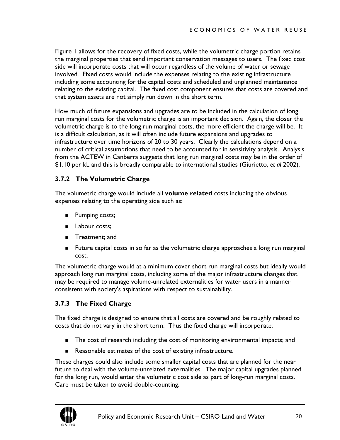<span id="page-20-0"></span>[Figure 1](#page-21-1) allows for the recovery of fixed costs, while the volumetric charge portion retains the marginal properties that send important conservation messages to users. The fixed cost side will incorporate costs that will occur regardless of the volume of water or sewage involved. Fixed costs would include the expenses relating to the existing infrastructure including some accounting for the capital costs and scheduled and unplanned maintenance relating to the existing capital. The fixed cost component ensures that costs are covered and that system assets are not simply run down in the short term.

How much of future expansions and upgrades are to be included in the calculation of long run marginal costs for the volumetric charge is an important decision. Again, the closer the volumetric charge is to the long run marginal costs, the more efficient the charge will be. It is a difficult calculation, as it will often include future expansions and upgrades to infrastructure over time horizons of 20 to 30 years. Clearly the calculations depend on a number of critical assumptions that need to be accounted for in sensitivity analysis. Analysis from the ACTEW in Canberra suggests that long run marginal costs may be in the order of \$1.10 per kL and this is broadly comparable to international studies (Giurietto, *et al* 2002).

#### **3.7.2 The Volumetric Charge**

The volumetric charge would include all **volume related** costs including the obvious expenses relating to the operating side such as:

- **Pumping costs;**
- **Labour costs;**
- **Treatment**; and
- Future capital costs in so far as the volumetric charge approaches a long run marginal cost.

The volumetric charge would at a minimum cover short run marginal costs but ideally would approach long run marginal costs, including some of the major infrastructure changes that may be required to manage volume-unrelated externalities for water users in a manner consistent with society's aspirations with respect to sustainability.

#### **3.7.3 The Fixed Charge**

The fixed charge is designed to ensure that all costs are covered and be roughly related to costs that do not vary in the short term. Thus the fixed charge will incorporate:

- The cost of research including the cost of monitoring environmental impacts; and
- Reasonable estimates of the cost of existing infrastructure.

These charges could also include some smaller capital costs that are planned for the near future to deal with the volume-unrelated externalities. The major capital upgrades planned for the long run, would enter the volumetric cost side as part of long-run marginal costs. Care must be taken to avoid do[uble-counting.](#page-21-1) 

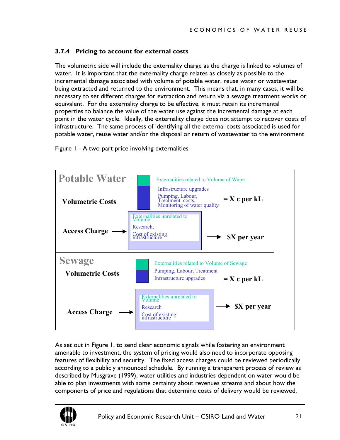#### <span id="page-21-0"></span>**3.7.4 Pricing to account for external costs**

The volumetric side will include the externality charge as the charge is linked to volumes of water. It is important that the externality charge relates as closely as possible to the incremental damage associated with volume of potable water, reuse water or wastewater being extracted and returned to the environment. This means that, in many cases, it will be necessary to set different charges for extraction and return via a sewage treatment works or equivalent. For the externality charge to be effective, it must retain its incremental properties to balance the value of the water use against the incremental damage at each point in the water cycle. Ideally, the externality charge does not attempt to recover costs of infrastructure. The same process of identifying all the external costs associated is used for potable water, reuse water and/or the disposal or return of wastewater to the environment

<span id="page-21-1"></span>



As set out in Figure 1, to send clear economic signals while fostering an environment amenable to investment, the system of pricing would also need to incorporate opposing features of flexibility and security. The fixed access charges could be reviewed periodically according to a publicly announced schedule. By running a transparent process of review as described by Musgrave (1999), water utilities and industries dependent on water would be able to plan investments with some certainty about revenues streams and about how the components of price and regulations that determine costs of delivery would be reviewed.

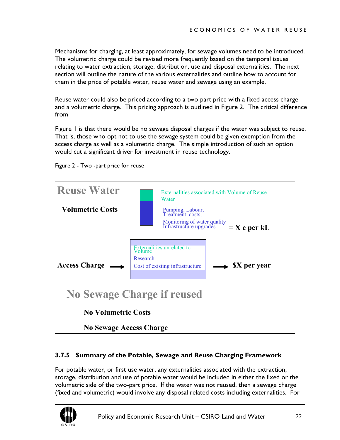<span id="page-22-0"></span>Mechanisms for charging, at least approximately, for sewage volumes need to be introduced. The volumetric charge could be revised more frequently based on the temporal issues relating to water extraction, storage, distribution, use and disposal externalities. The next section will outline the nature of the various externalities and outline how to account for them in the price of potable water, reuse water and sewage using an example.

Reuse water could also be priced according to a two-part price with a fixed access charge and a volumetric charge. This pricing approach is outlined in [Figure 2.](#page-22-1) The critical difference from

[Figure 1](#page-21-1) is that there would be no sewage disposal charges if the water was subject to reuse. That is, those who opt not to use the sewage system could be given exemption from the access charge as well as a volumetric charge. The simple introduction of such an option would cut a significant driver for investment in reuse technology.

<span id="page-22-1"></span>



#### **3.7.5 Summary of the Potable, Sewage and Reuse Charging Framework**

For potable water, or first use water, any externalities associated with the extraction, storage, distribution and use of potable water would be included in either the fixed or the volumetric side of the two-part price. If the water was not reused, then a sewage charge (fixed and volumetric) would involve any disposal related costs including externalities. For

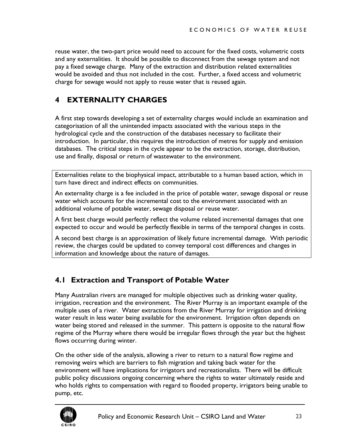<span id="page-23-0"></span>reuse water, the two-part price would need to account for the fixed costs, volumetric costs and any externalities. It should be possible to disconnect from the sewage system and not pay a fixed sewage charge. Many of the extraction and distribution related externalities would be avoided and thus not included in the cost. Further, a fixed access and volumetric charge for sewage would not apply to reuse water that is reused again.

## **4 EXTERNALITY CHARGES**

A first step towards developing a set of externality charges would include an examination and categorisation of all the unintended impacts associated with the various steps in the hydrological cycle and the construction of the databases necessary to facilitate their introduction. In particular, this requires the introduction of metres for supply and emission databases. The critical steps in the cycle appear to be the extraction, storage, distribution, use and finally, disposal or return of wastewater to the environment.

Externalities relate to the biophysical impact, attributable to a human based action, which in turn have direct and indirect effects on communities.

An externality charge is a fee included in the price of potable water, sewage disposal or reuse water which accounts for the incremental cost to the environment associated with an additional volume of potable water, sewage disposal or reuse water.

A first best charge would perfectly reflect the volume related incremental damages that one expected to occur and would be perfectly flexible in terms of the temporal changes in costs.

A second best charge is an approximation of likely future incremental damage. With periodic review, the charges could be updated to convey temporal cost differences and changes in information and knowledge about the nature of damages.

## **4.1 Extraction and Transport of Potable Water**

Many Australian rivers are managed for multiple objectives such as drinking water quality, irrigation, recreation and the environment. The River Murray is an important example of the multiple uses of a river. Water extractions from the River Murray for irrigation and drinking water result in less water being available for the environment. Irrigation often depends on water being stored and released in the summer. This pattern is opposite to the natural flow regime of the Murray where there would be irregular flows through the year but the highest flows occurring during winter.

On the other side of the analysis, allowing a river to return to a natural flow regime and removing weirs which are barriers to fish migration and taking back water for the environment will have implications for irrigators and recreationalists. There will be difficult public policy discussions ongoing concerning where the rights to water ultimately reside and who holds rights to compensation with regard to flooded property, irrigators being unable to pump, etc.

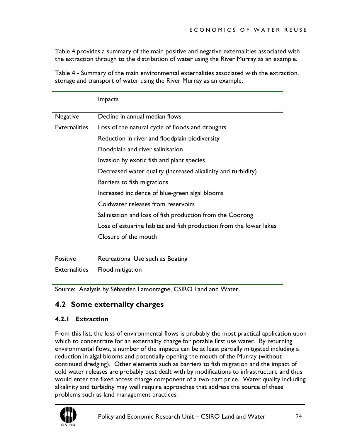<span id="page-24-0"></span>[Table 4](#page-24-1) provides a summary of the main positive and negative externalities associated with the extraction through to the distribution of water using the River Murray as an example.

<span id="page-24-1"></span>Table 4 - Summary of the main environmental externalities associated with the extraction, storage and transport of water using the River Murray as an example.

|                      | <b>Impacts</b>                                                     |
|----------------------|--------------------------------------------------------------------|
| <b>Negative</b>      | Decline in annual median flows                                     |
| <b>Externalities</b> | Loss of the natural cycle of floods and droughts                   |
|                      | Reduction in river and floodplain biodiversity                     |
|                      | Floodplain and river salinisation                                  |
|                      | Invasion by exotic fish and plant species                          |
|                      | Decreased water quality (increased alkalinity and turbidity)       |
|                      | Barriers to fish migrations                                        |
|                      | Increased incidence of blue-green algal blooms                     |
|                      | Coldwater releases from reservoirs                                 |
|                      | Salinisation and loss of fish production from the Coorong          |
|                      | Loss of estuarine habitat and fish production from the lower lakes |
|                      | Closure of the mouth                                               |
|                      |                                                                    |
| <b>Positive</b>      | Recreational Use such as Boating                                   |
| <b>Externalities</b> | Flood mitigation                                                   |

Source: Analysis by Sébastien Lamontagne, CSIRO Land and Water.

## **4.2 Some externality charges**

#### **4.2.1 Extraction**

From this list, the loss of environmental flows is probably the most practical application upon which to concentrate for an externality charge for potable first use water. By returning environmental flows, a number of the impacts can be at least partially mitigated including a reduction in algal blooms and potentially opening the mouth of the Murray (without continued dredging). Other elements such as barriers to fish migration and the impact of cold water releases are probably best dealt with by modifications to infrastructure and thus would enter the fixed access charge component of a two-part price. Water quality including alkalinity and turbidity may well require approaches that address the source of these problems such as land management practices.

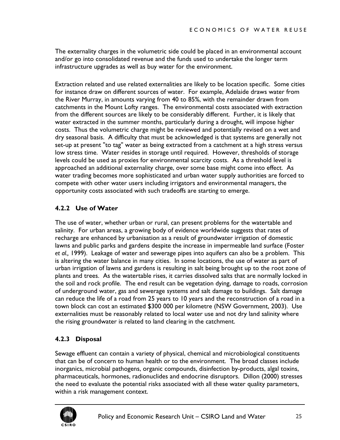<span id="page-25-0"></span>The externality charges in the volumetric side could be placed in an environmental account and/or go into consolidated revenue and the funds used to undertake the longer term infrastructure upgrades as well as buy water for the environment.

Extraction related and use related externalities are likely to be location specific. Some cities for instance draw on different sources of water. For example, Adelaide draws water from the River Murray, in amounts varying from 40 to 85%, with the remainder drawn from catchments in the Mount Lofty ranges. The environmental costs associated with extraction from the different sources are likely to be considerably different. Further, it is likely that water extracted in the summer months, particularly during a drought, will impose higher costs. Thus the volumetric charge might be reviewed and potentially revised on a wet and dry seasonal basis. A difficulty that must be acknowledged is that systems are generally not set-up at present "to tag" water as being extracted from a catchment at a high stress versus low stress time. Water resides in storage until required. However, thresholds of storage levels could be used as proxies for environmental scarcity costs. As a threshold level is approached an additional externality charge, over some base might come into effect. As water trading becomes more sophisticated and urban water supply authorities are forced to compete with other water users including irrigators and environmental managers, the opportunity costs associated with such tradeoffs are starting to emerge.

#### **4.2.2 Use of Water**

The use of water, whether urban or rural, can present problems for the watertable and salinity. For urban areas, a growing body of evidence worldwide suggests that rates of recharge are enhanced by urbanisation as a result of groundwater irrigation of domestic lawns and public parks and gardens despite the increase in impermeable land surface (Foster *et al.,* 1999). Leakage of water and sewerage pipes into aquifers can also be a problem. This is altering the water balance in many cities. In some locations, the use of water as part of urban irrigation of lawns and gardens is resulting in salt being brought up to the root zone of plants and trees. As the watertable rises, it carries dissolved salts that are normally locked in the soil and rock profile. The end result can be vegetation dying, damage to roads, corrosion of underground water, gas and sewerage systems and salt damage to buildings. Salt damage can reduce the life of a road from 25 years to 10 years and the reconstruction of a road in a town block can cost an estimated \$300 000 per kilometre (NSW Government, 2003). Use externalities must be reasonably related to local water use and not dry land salinity where the rising groundwater is related to land clearing in the catchment.

#### **4.2.3 Disposal**

Sewage effluent can contain a variety of physical, chemical and microbiological constituents that can be of concern to human health or to the environment. The broad classes include inorganics, microbial pathogens, organic compounds, disinfection by-products, algal toxins, pharmaceuticals, hormones, radionuclides and endocrine disruptors. Dillon (2000) stresses the need to evaluate the potential risks associated with all these water quality parameters, within a risk management context.

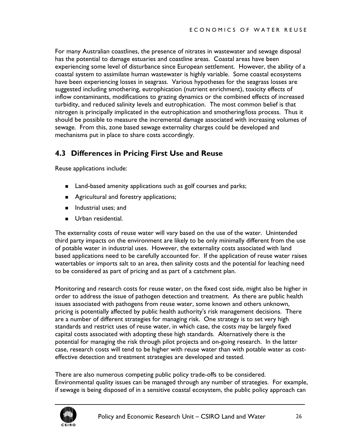<span id="page-26-0"></span>For many Australian coastlines, the presence of nitrates in wastewater and sewage disposal has the potential to damage estuaries and coastline areas. Coastal areas have been experiencing some level of disturbance since European settlement. However, the ability of a coastal system to assimilate human wastewater is highly variable. Some coastal ecosystems have been experiencing losses in seagrass. Various hypotheses for the seagrass losses are suggested including smothering, eutrophication (nutrient enrichment), toxicity effects of inflow contaminants, modifications to grazing dynamics or the combined effects of increased turbidity, and reduced salinity levels and eutrophication. The most common belief is that nitrogen is principally implicated in the eutrophication and smothering/loss process. Thus it should be possible to measure the incremental damage associated with increasing volumes of sewage. From this, zone based sewage externality charges could be developed and mechanisms put in place to share costs accordingly.

## **4.3 Differences in Pricing First Use and Reuse**

Reuse applications include:

- Land-based amenity applications such as golf courses and parks;
- **Agricultural and forestry applications;**
- Industrial uses; and
- Urban residential.

The externality costs of reuse water will vary based on the use of the water. Unintended third party impacts on the environment are likely to be only minimally different from the use of potable water in industrial uses. However, the externality costs associated with land based applications need to be carefully accounted for. If the application of reuse water raises watertables or imports salt to an area, then salinity costs and the potential for leaching need to be considered as part of pricing and as part of a catchment plan.

Monitoring and research costs for reuse water, on the fixed cost side, might also be higher in order to address the issue of pathogen detection and treatment. As there are public health issues associated with pathogens from reuse water, some known and others unknown, pricing is potentially affected by public health authority's risk management decisions. There are a number of different strategies for managing risk. One strategy is to set very high standards and restrict uses of reuse water, in which case, the costs may be largely fixed capital costs associated with adopting these high standards. Alternatively there is the potential for managing the risk through pilot projects and on-going research. In the latter case, research costs will tend to be higher with reuse water than with potable water as costeffective detection and treatment strategies are developed and tested.

There are also numerous competing public policy trade-offs to be considered. Environmental quality issues can be managed through any number of strategies. For example, if sewage is being disposed of in a sensitive coastal ecosystem, the public policy approach can

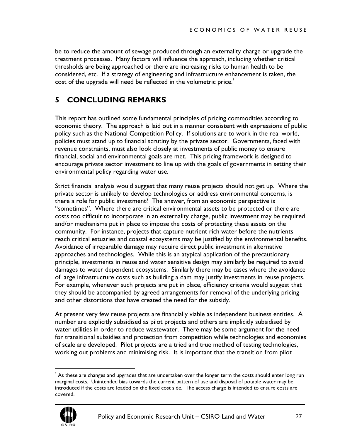<span id="page-27-0"></span>be to reduce the amount of sewage produced through an externality charge or upgrade the treatment processes. Many factors will influence the approach, including whether critical thresholds are being approached or there are increasing risks to human health to be considered, etc. If a strategy of engineering and infrastructure enhancement is taken, the cost of the upgrade will need be reflected in the volumetric price. $2$ 

## **5 CONCLUDING REMARKS**

This report has outlined some fundamental principles of pricing commodities according to economic theory. The approach is laid out in a manner consistent with expressions of public policy such as the National Competition Policy. If solutions are to work in the real world, policies must stand up to financial scrutiny by the private sector. Governments, faced with revenue constraints, must also look closely at investments of public money to ensure financial, social and environmental goals are met. This pricing framework is designed to encourage private sector investment to line up with the goals of governments in setting their environmental policy regarding water use.

Strict financial analysis would suggest that many reuse projects should not get up. Where the private sector is unlikely to develop technologies or address environmental concerns, is there a role for public investment? The answer, from an economic perspective is "sometimes". Where there are critical environmental assets to be protected or there are costs too difficult to incorporate in an externality charge, public investment may be required and/or mechanisms put in place to impose the costs of protecting these assets on the community. For instance, projects that capture nutrient rich water before the nutrients reach critical estuaries and coastal ecosystems may be justified by the environmental benefits. Avoidance of irreparable damage may require direct public investment in alternative approaches and technologies. While this is an atypical application of the precautionary principle, investments in reuse and water sensitive design may similarly be required to avoid damages to water dependent ecosystems. Similarly there may be cases where the avoidance of large infrastructure costs such as building a dam may justify investments in reuse projects. For example, whenever such projects are put in place, efficiency criteria would suggest that they should be accompanied by agreed arrangements for removal of the underlying pricing and other distortions that have created the need for the subsidy.

At present very few reuse projects are financially viable as independent business entities. A number are explicitly subsidised as pilot projects and others are implicitly subsidised by water utilities in order to reduce wastewater. There may be some argument for the need for transitional subsidies and protection from competition while technologies and economies of scale are developed. Pilot projects are a tried and true method of testing technologies, working out problems and minimising risk. It is important that the transition from pilot

<span id="page-27-1"></span> $\frac{1}{2}$  $^2$  As these are changes and upgrades that are undertaken over the longer term the costs should enter long run marginal costs. Unintended bias towards the current pattern of use and disposal of potable water may be introduced if the costs are loaded on the fixed cost side. The access charge is intended to ensure costs are covered.

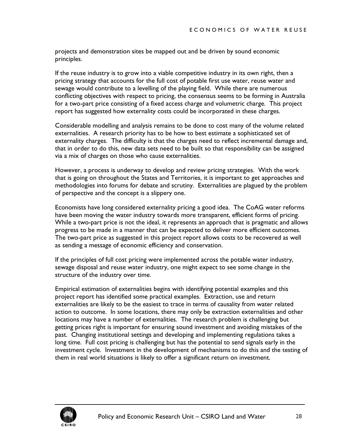projects and demonstration sites be mapped out and be driven by sound economic principles.

If the reuse industry is to grow into a viable competitive industry in its own right, then a pricing strategy that accounts for the full cost of potable first use water, reuse water and sewage would contribute to a levelling of the playing field. While there are numerous conflicting objectives with respect to pricing, the consensus seems to be forming in Australia for a two-part price consisting of a fixed access charge and volumetric charge. This project report has suggested how externality costs could be incorporated in these charges.

Considerable modelling and analysis remains to be done to cost many of the volume related externalities. A research priority has to be how to best estimate a sophisticated set of externality charges. The difficulty is that the charges need to reflect incremental damage and, that in order to do this, new data sets need to be built so that responsibility can be assigned via a mix of charges on those who cause externalities.

However, a process is underway to develop and review pricing strategies. With the work that is going on throughout the States and Territories, it is important to get approaches and methodologies into forums for debate and scrutiny. Externalities are plagued by the problem of perspective and the concept is a slippery one.

Economists have long considered externality pricing a good idea. The CoAG water reforms have been moving the water industry towards more transparent, efficient forms of pricing. While a two-part price is not the ideal, it represents an approach that is pragmatic and allows progress to be made in a manner that can be expected to deliver more efficient outcomes. The two-part price as suggested in this project report allows costs to be recovered as well as sending a message of economic efficiency and conservation.

If the principles of full cost pricing were implemented across the potable water industry, sewage disposal and reuse water industry, one might expect to see some change in the structure of the industry over time.

Empirical estimation of externalities begins with identifying potential examples and this project report has identified some practical examples. Extraction, use and return externalities are likely to be the easiest to trace in terms of causality from water related action to outcome. In some locations, there may only be extraction externalities and other locations may have a number of externalities. The research problem is challenging but getting prices right is important for ensuring sound investment and avoiding mistakes of the past. Changing institutional settings and developing and implementing regulations takes a long time. Full cost pricing is challenging but has the potential to send signals early in the investment cycle. Investment in the development of mechanisms to do this and the testing of them in real world situations is likely to offer a significant return on investment.

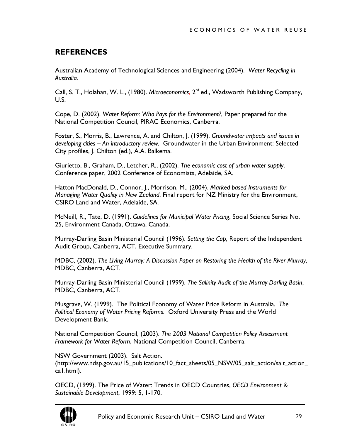## <span id="page-29-0"></span>**REFERENCES**

Australian Academy of Technological Sciences and Engineering (2004). *Water Recycling in Australia*.

Call, S. T., Holahan, W. L., (1980). Microeconomics, 2<sup>nd</sup> ed., Wadsworth Publishing Company, U.S.

Cope, D. (2002). *Water Reform: Who Pays for the Environment?*, Paper prepared for the National Competition Council, PIRAC Economics, Canberra.

Foster, S., Morris, B., Lawrence, A. and Chilton, J. (1999). *Groundwater impacts and issues in developing cities – An introductory review.* Groundwater in the Urban Environment: Selected City profiles, J. Chilton (ed.), A.A. Balkema.

Giurietto, B., Graham, D., Letcher, R., (2002). *The economic cost of urban water supply*. Conference paper, 2002 Conference of Economists, Adelaide, SA.

Hatton MacDonald, D., Connor, J., Morrison, M., (2004). *Marked-based Instruments for Managing Water Quality in New Zealand*. Final report for NZ Ministry for the Environment, CSIRO Land and Water, Adelaide, SA.

McNeill, R., Tate, D. (1991). *Guidelines for Municipal Water Pricing*, Social Science Series No. 25, Environment Canada, Ottawa, Canada.

Murray-Darling Basin Ministerial Council (1996). *Setting the Cap*, Report of the Independent Audit Group, Canberra, ACT, Executive Summary.

MDBC, (2002). *The Living Murray: A Discussion Paper on Restoring the Health of the River Murray*, MDBC, Canberra, ACT.

Murray-Darling Basin Ministerial Council (1999). *The Salinity Audit of the Murray-Darling Basin*, MDBC, Canberra, ACT.

Musgrave, W. (1999). The Political Economy of Water Price Reform in Australia. *The Political Economy of Water Pricing Reforms*. Oxford University Press and the World Development Bank.

National Competition Council, (2003). *The 2003 National Competition Policy Assessment Framework for Water Reform*, National Competition Council, Canberra.

NSW Government (2003). Salt Action. (http://www.ndsp.gov.au/15\_publications/10\_fact\_sheets/05\_NSW/05\_salt\_action/salt\_action\_ ca1.html).

OECD, (1999). The Price of Water: Trends in OECD Countries, *OECD Environment & Sustainable Development*, 1999: 5, 1-170.

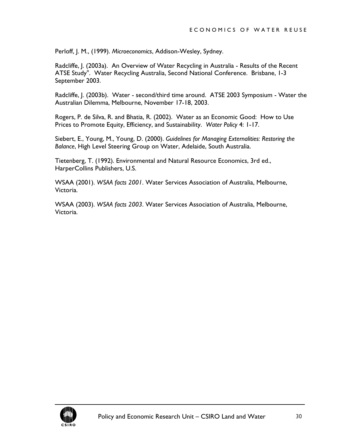Perloff, J. M., (1999). *Microeconomics*, Addison-Wesley, Sydney.

Radcliffe, J. (2003a). An Overview of Water Recycling in Australia - Results of the Recent ATSE Study". Water Recycling Australia, Second National Conference. Brisbane, 1-3 September 2003.

Radcliffe, J. (2003b). Water - second/third time around. ATSE 2003 Symposium - Water the Australian Dilemma, Melbourne, November 17-18, 2003.

Rogers, P. de Silva, R. and Bhatia, R. (2002). Water as an Economic Good: How to Use Prices to Promote Equity, Efficiency, and Sustainability. *Water Policy* 4: 1-17.

Siebert, E., Young, M., Young, D. (2000). *Guidelines for Managing Externalities: Restoring the Balance*, High Level Steering Group on Water, Adelaide, South Australia.

Tietenberg, T. (1992). Environmental and Natural Resource Economics, 3rd ed., HarperCollins Publishers, U.S.

WSAA (2001). *WSAA facts 2001*. Water Services Association of Australia, Melbourne, Victoria.

WSAA (2003). *WSAA facts 2003*. Water Services Association of Australia, Melbourne, Victoria.